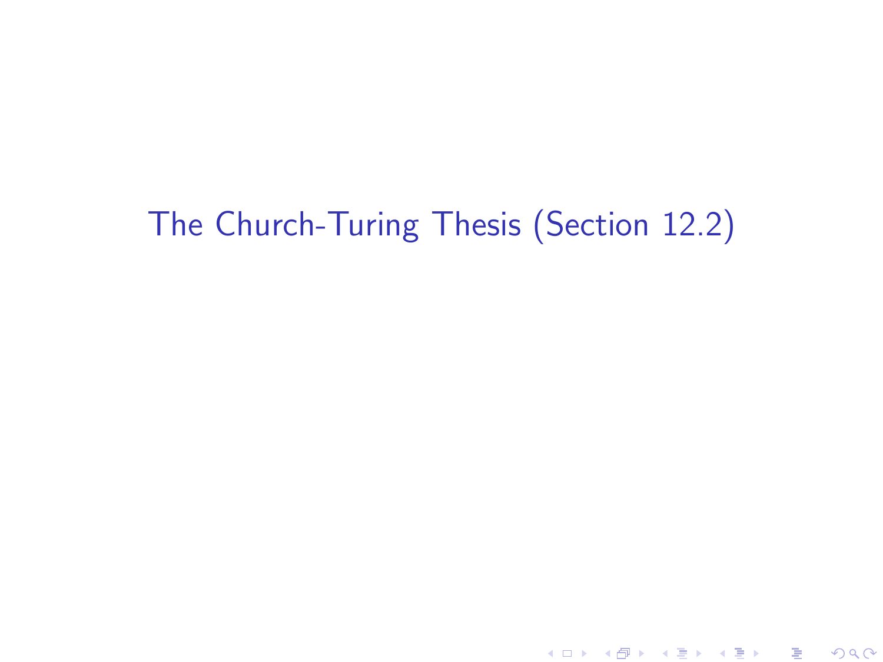# The Church-Turing Thesis (Section 12.2)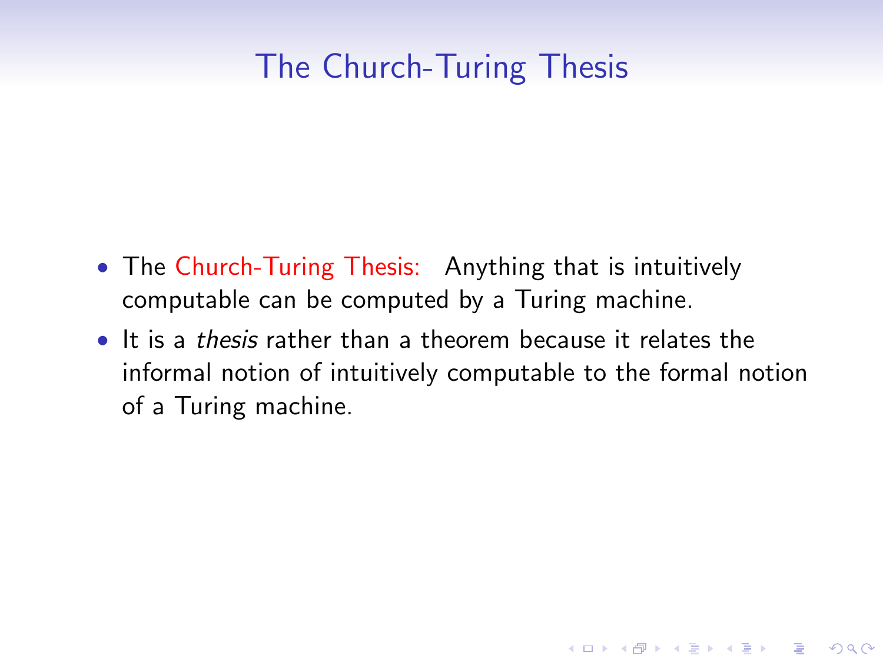## The Church-Turing Thesis

- The Church-Turing Thesis: Anything that is intuitively computable can be computed by a Turing machine.
- It is a *thesis* rather than a theorem because it relates the informal notion of intuitively computable to the formal notion of a Turing machine.

**KORK STRATER STRAKER**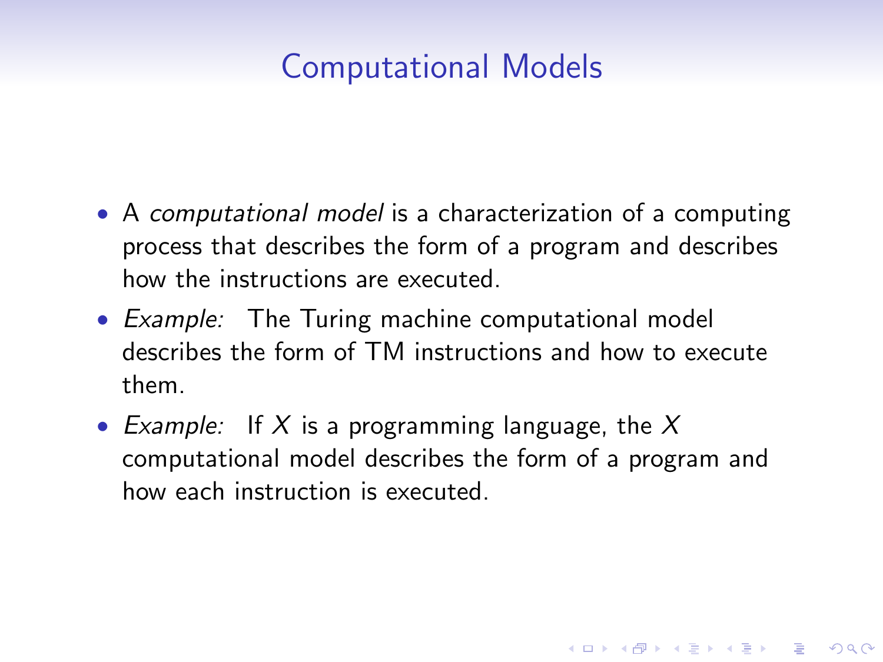## Computational Models

- A computational model is a characterization of a computing process that describes the form of a program and describes how the instructions are executed.
- Example: The Turing machine computational model describes the form of TM instructions and how to execute them.
- Example: If X is a programming language, the X computational model describes the form of a program and how each instruction is executed.

**KORK STRATER STRAKER**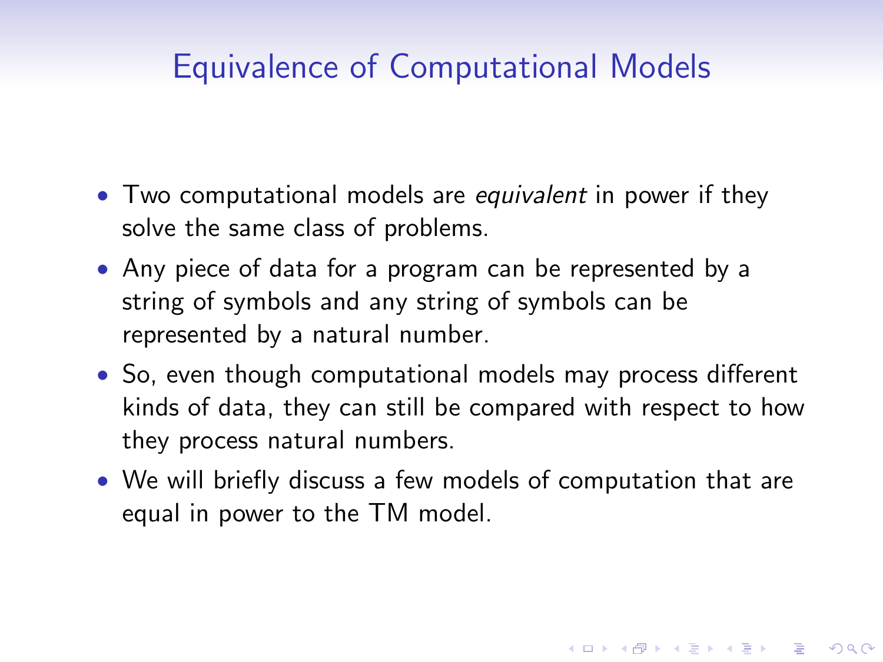## Equivalence of Computational Models

- Two computational models are equivalent in power if they solve the same class of problems.
- Any piece of data for a program can be represented by a string of symbols and any string of symbols can be represented by a natural number.
- So, even though computational models may process different kinds of data, they can still be compared with respect to how they process natural numbers.
- We will briefly discuss a few models of computation that are equal in power to the TM model.

**KORKAR KERKER E VOOR**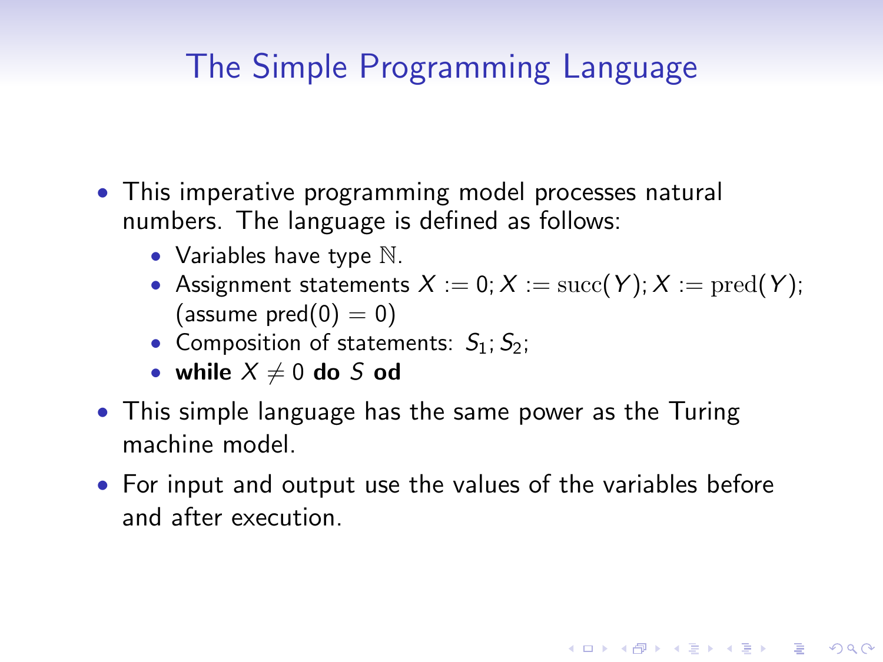## The Simple Programming Language

- This imperative programming model processes natural numbers. The language is defined as follows:
	- Variables have type  $\mathbb N$ .
	- Assignment statements  $X := 0; X := \text{succ}(Y); X := \text{pred}(Y);$ (assume  $pred(0) = 0$ )

**K ロ ▶ K @ ▶ K 할 X X 할 X → 할 X → 9 Q Q ^** 

- Composition of statements:  $S_1$ ;  $S_2$ ;
- while  $X \neq 0$  do S od
- This simple language has the same power as the Turing machine model.
- For input and output use the values of the variables before and after execution.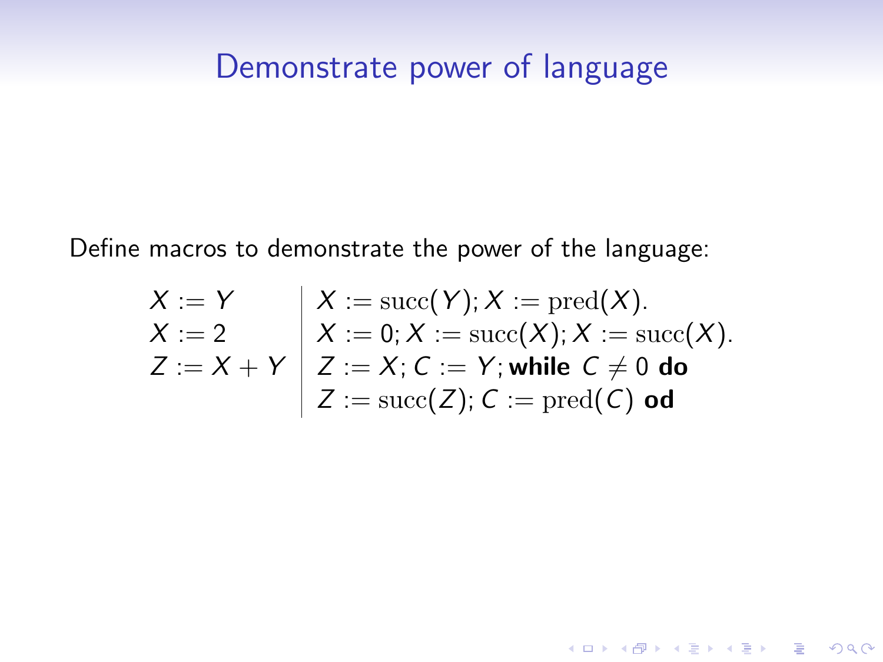#### Demonstrate power of language

Define macros to demonstrate the power of the language:

$$
X := Y
$$
  
\n
$$
X := 2
$$
  
\n
$$
Z := X + Y
$$
  
\n
$$
Z := \text{succ}(Y); X := \text{pred}(X).
$$
  
\n
$$
Z := X + Y
$$
  
\n
$$
Z := X; C := Y; \text{while } C \neq 0 \text{ do}
$$
  
\n
$$
Z := \text{succ}(Z); C := \text{pred}(C) \text{ od}
$$

K ロ ▶ K @ ▶ K 할 ▶ K 할 ▶ | 할 | ⊙Q @